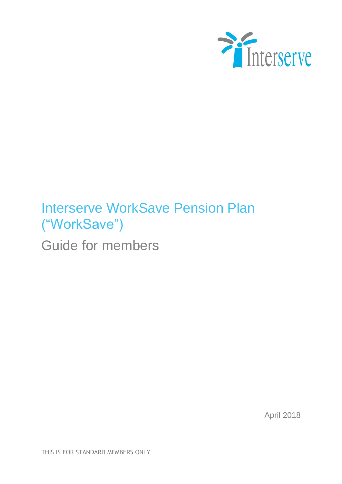

# Interserve WorkSave Pension Plan ("WorkSave")

Guide for members

April 2018

THIS IS FOR STANDARD MEMBERS ONLY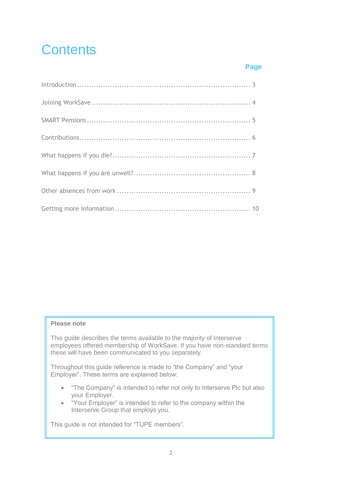# **Contents**

### **Page**

#### **Please note**

This guide describes the terms available to the majority of Interserve employees offered membership of WorkSave. If you have non-standard terms these will have been communicated to you separately.

Throughout this guide reference is made to "the Company" and "your Employer". These terms are explained below:

- "The Company" is intended to refer not only to Interserve Plc but also your Employer.
- "Your Employer" is intended to refer to the company within the Interserve Group that employs you.

This guide is not intended for "TUPE members".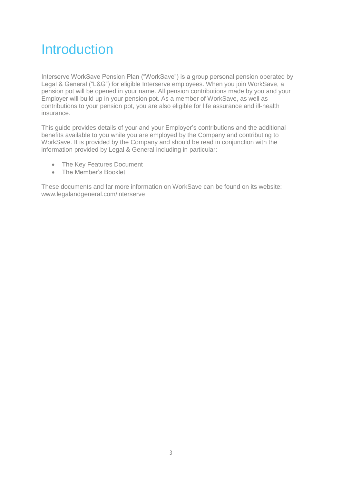## **Introduction**

Interserve WorkSave Pension Plan ("WorkSave") is a group personal pension operated by Legal & General ("L&G") for eligible Interserve employees. When you join WorkSave, a pension pot will be opened in your name. All pension contributions made by you and your Employer will build up in your pension pot. As a member of WorkSave, as well as contributions to your pension pot, you are also eligible for life assurance and ill-health insurance.

This guide provides details of your and your Employer's contributions and the additional benefits available to you while you are employed by the Company and contributing to WorkSave. It is provided by the Company and should be read in conjunction with the information provided by Legal & General including in particular:

- The Key Features Document
- The Member's Booklet

These documents and far more information on WorkSave can be found on its website: www.legalandgeneral.com/interserve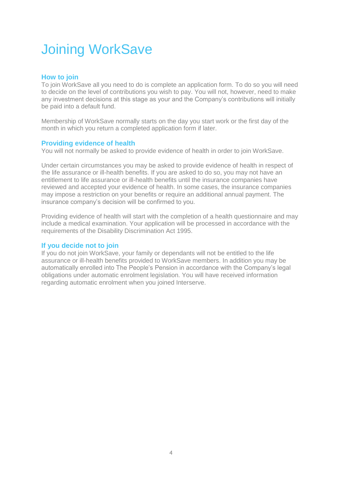# Joining WorkSave

### **How to join**

To join WorkSave all you need to do is complete an application form. To do so you will need to decide on the level of contributions you wish to pay. You will not, however, need to make any investment decisions at this stage as your and the Company's contributions will initially be paid into a default fund.

Membership of WorkSave normally starts on the day you start work or the first day of the month in which you return a completed application form if later.

### **Providing evidence of health**

You will not normally be asked to provide evidence of health in order to join WorkSave.

Under certain circumstances you may be asked to provide evidence of health in respect of the life assurance or ill-health benefits. If you are asked to do so, you may not have an entitlement to life assurance or ill-health benefits until the insurance companies have reviewed and accepted your evidence of health. In some cases, the insurance companies may impose a restriction on your benefits or require an additional annual payment. The insurance company's decision will be confirmed to you.

Providing evidence of health will start with the completion of a health questionnaire and may include a medical examination. Your application will be processed in accordance with the requirements of the Disability Discrimination Act 1995.

#### **If you decide not to join**

If you do not join WorkSave, your family or dependants will not be entitled to the life assurance or ill-health benefits provided to WorkSave members. In addition you may be automatically enrolled into The People's Pension in accordance with the Company's legal obligations under automatic enrolment legislation. You will have received information regarding automatic enrolment when you joined Interserve.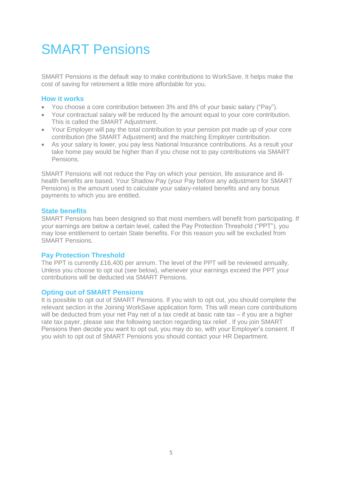## SMART Pensions

SMART Pensions is the default way to make contributions to WorkSave. It helps make the cost of saving for retirement a little more affordable for you.

#### **How it works**

- You choose a core contribution between 3% and 8% of your basic salary ("Pay").
- Your contractual salary will be reduced by the amount equal to your core contribution. This is called the SMART Adjustment.
- Your Employer will pay the total contribution to your pension pot made up of your core contribution (the SMART Adjustment) and the matching Employer contribution.
- As your salary is lower, you pay less National Insurance contributions. As a result your take home pay would be higher than if you chose not to pay contributions via SMART Pensions.

SMART Pensions will not reduce the Pay on which your pension, life assurance and illhealth benefits are based. Your Shadow Pay (your Pay before any adjustment for SMART Pensions) is the amount used to calculate your salary-related benefits and any bonus payments to which you are entitled.

#### **State benefits**

SMART Pensions has been designed so that most members will benefit from participating. If your earnings are below a certain level, called the Pay Protection Threshold ("PPT"), you may lose entitlement to certain State benefits. For this reason you will be excluded from SMART Pensions.

#### **Pay Protection Threshold**

The PPT is currently £16,400 per annum. The level of the PPT will be reviewed annually. Unless you choose to opt out (see below), whenever your earnings exceed the PPT your contributions will be deducted via SMART Pensions.

#### **Opting out of SMART Pensions**

It is possible to opt out of SMART Pensions. If you wish to opt out, you should complete the relevant section in the Joining WorkSave application form. This will mean core contributions will be deducted from your net Pay net of a tax credit at basic rate tax – if you are a higher rate tax payer, please see the following section regarding tax relief . If you join SMART Pensions then decide you want to opt out, you may do so, with your Employer's consent. If you wish to opt out of SMART Pensions you should contact your HR Department.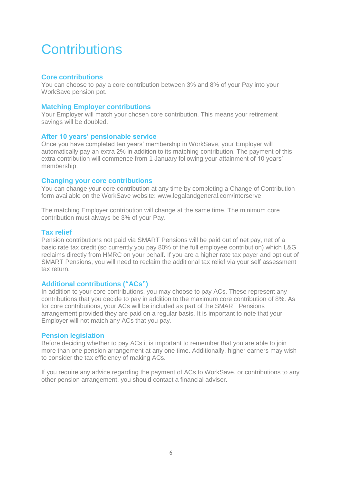## **Contributions**

### **Core contributions**

You can choose to pay a core contribution between 3% and 8% of your Pay into your WorkSave pension pot.

### **Matching Employer contributions**

Your Employer will match your chosen core contribution. This means your retirement savings will be doubled.

#### **After 10 years' pensionable service**

Once you have completed ten years' membership in WorkSave, your Employer will automatically pay an extra 2% in addition to its matching contribution. The payment of this extra contribution will commence from 1 January following your attainment of 10 years' membership.

#### **Changing your core contributions**

You can change your core contribution at any time by completing a Change of Contribution form available on the WorkSave website: www.legalandgeneral.com/interserve

The matching Employer contribution will change at the same time. The minimum core contribution must always be 3% of your Pay.

#### **Tax relief**

Pension contributions not paid via SMART Pensions will be paid out of net pay, net of a basic rate tax credit (so currently you pay 80% of the full employee contribution) which L&G reclaims directly from HMRC on your behalf. If you are a higher rate tax payer and opt out of SMART Pensions, you will need to reclaim the additional tax relief via your self assessment tax return.

### **Additional contributions ("ACs")**

In addition to your core contributions, you may choose to pay ACs. These represent any contributions that you decide to pay in addition to the maximum core contribution of 8%. As for core contributions, your ACs will be included as part of the SMART Pensions arrangement provided they are paid on a regular basis. It is important to note that your Employer will not match any ACs that you pay.

#### **Pension legislation**

Before deciding whether to pay ACs it is important to remember that you are able to join more than one pension arrangement at any one time. Additionally, higher earners may wish to consider the tax efficiency of making ACs.

If you require any advice regarding the payment of ACs to WorkSave, or contributions to any other pension arrangement, you should contact a financial adviser.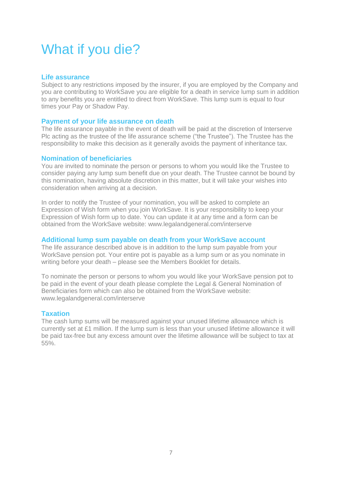## What if you die?

### **Life assurance**

Subject to any restrictions imposed by the insurer, if you are employed by the Company and you are contributing to WorkSave you are eligible for a death in service lump sum in addition to any benefits you are entitled to direct from WorkSave. This lump sum is equal to four times your Pay or Shadow Pay.

#### **Payment of your life assurance on death**

The life assurance payable in the event of death will be paid at the discretion of Interserve Plc acting as the trustee of the life assurance scheme ("the Trustee"). The Trustee has the responsibility to make this decision as it generally avoids the payment of inheritance tax.

#### **Nomination of beneficiaries**

You are invited to nominate the person or persons to whom you would like the Trustee to consider paying any lump sum benefit due on your death. The Trustee cannot be bound by this nomination, having absolute discretion in this matter, but it will take your wishes into consideration when arriving at a decision.

In order to notify the Trustee of your nomination, you will be asked to complete an Expression of Wish form when you join WorkSave. It is your responsibility to keep your Expression of Wish form up to date. You can update it at any time and a form can be obtained from the WorkSave website: www.legalandgeneral.com/interserve

#### **Additional lump sum payable on death from your WorkSave account**

The life assurance described above is in addition to the lump sum payable from your WorkSave pension pot. Your entire pot is payable as a lump sum or as you nominate in writing before your death – please see the Members Booklet for details.

To nominate the person or persons to whom you would like your WorkSave pension pot to be paid in the event of your death please complete the Legal & General Nomination of Beneficiaries form which can also be obtained from the WorkSave website: www.legalandgeneral.com/interserve

### **Taxation**

The cash lump sums will be measured against your unused lifetime allowance which is currently set at £1 million. If the lump sum is less than your unused lifetime allowance it will be paid tax-free but any excess amount over the lifetime allowance will be subject to tax at 55%.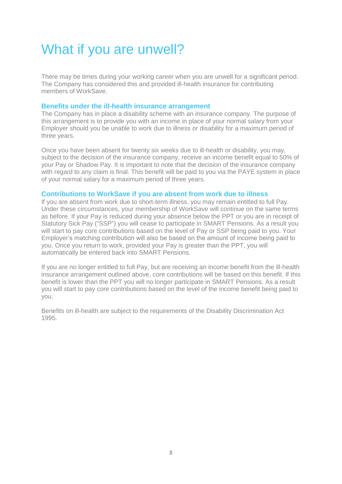# What if you are unwell?

There may be times during your working career when you are unwell for a significant period. The Company has considered this and provided ill-health insurance for contributing members of WorkSave.

#### **Benefits under the ill-health insurance arrangement**

The Company has in place a disability scheme with an insurance company. The purpose of this arrangement is to provide you with an income in place of your normal salary from your Employer should you be unable to work due to illness or disability for a maximum period of three years.

Once you have been absent for twenty six weeks due to ill-health or disability, you may, subject to the decision of the insurance company, receive an income benefit equal to 50% of your Pay or Shadow Pay. It is important to note that the decision of the insurance company with regard to any claim is final. This benefit will be paid to you via the PAYE system in place of your normal salary for a maximum period of three years.

#### **Contributions to WorkSave if you are absent from work due to illness**

If you are absent from work due to short-term illness, you may remain entitled to full Pay. Under these circumstances, your membership of WorkSave will continue on the same terms as before. If your Pay is reduced during your absence below the PPT or you are in receipt of Statutory Sick Pay ("SSP") you will cease to participate in SMART Pensions. As a result you will start to pay core contributions based on the level of Pay or SSP being paid to you. Your Employer's matching contribution will also be based on the amount of income being paid to you. Once you return to work, provided your Pay is greater than the PPT, you will automatically be entered back into SMART Pensions.

If you are no longer entitled to full Pay, but are receiving an income benefit from the ill-health insurance arrangement outlined above, core contributions will be based on this benefit. If this benefit is lower than the PPT you will no longer participate in SMART Pensions. As a result you will start to pay core contributions based on the level of the income benefit being paid to you.

Benefits on ill-health are subject to the requirements of the Disability Discrimination Act 1995.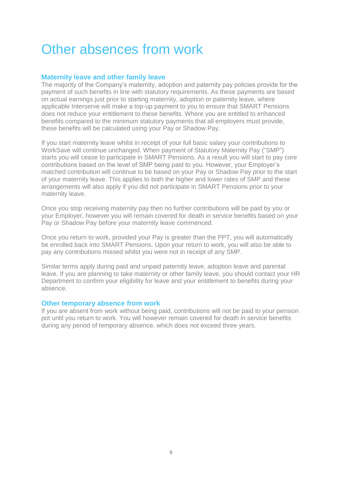## Other absences from work

### **Maternity leave and other family leave**

The majority of the Company's maternity, adoption and paternity pay policies provide for the payment of such benefits in line with statutory requirements. As these payments are based on actual earnings just prior to starting maternity, adoption or paternity leave, where applicable Interserve will make a top-up payment to you to ensure that SMART Pensions does not reduce your entitlement to these benefits. Where you are entitled to enhanced benefits compared to the minimum statutory payments that all employers must provide, these benefits will be calculated using your Pay or Shadow Pay.

If you start maternity leave whilst in receipt of your full basic salary your contributions to WorkSave will continue unchanged. When payment of Statutory Maternity Pay ("SMP") starts you will cease to participate in SMART Pensions. As a result you will start to pay core contributions based on the level of SMP being paid to you. However, your Employer's matched contribution will continue to be based on your Pay or Shadow Pay prior to the start of your maternity leave. This applies to both the higher and lower rates of SMP and these arrangements will also apply if you did not participate in SMART Pensions prior to your maternity leave.

Once you stop receiving maternity pay then no further contributions will be paid by you or your Employer, however you will remain covered for death in service benefits based on your Pay or Shadow Pay before your maternity leave commenced.

Once you return to work, provided your Pay is greater than the PPT, you will automatically be enrolled back into SMART Pensions. Upon your return to work, you will also be able to pay any contributions missed whilst you were not in receipt of any SMP.

Similar terms apply during paid and unpaid paternity leave, adoption leave and parental leave. If you are planning to take maternity or other family leave, you should contact your HR Department to confirm your eligibility for leave and your entitlement to benefits during your absence.

#### **Other temporary absence from work**

If you are absent from work without being paid, contributions will not be paid to your pension pot until you return to work. You will however remain covered for death in service benefits during any period of temporary absence, which does not exceed three years.